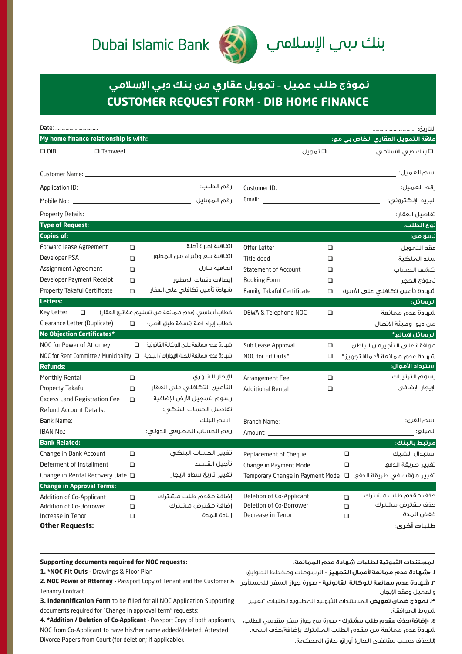## Dubai Islamic Bank



## بنك <mark>ى</mark>بى الإسلامىي

## **CUSTOMER REQUEST FORM - DIB HOME FINANCE نموذج طلب عميل** – **تمويل عقاري من بنك دبي الإسلامي**

| Date:                                                                                                                                                                                                                          |        |                                                                                                               |                             |        |        |                                                                |
|--------------------------------------------------------------------------------------------------------------------------------------------------------------------------------------------------------------------------------|--------|---------------------------------------------------------------------------------------------------------------|-----------------------------|--------|--------|----------------------------------------------------------------|
| My home finance relationship is with:                                                                                                                                                                                          |        |                                                                                                               |                             |        |        | علاقة التمويل العقاري الخاص بي مع:                             |
| $\Box$ DIB<br>$\Box$ Tamweel                                                                                                                                                                                                   |        |                                                                                                               | ◘ تمویل                     |        |        | □ بنك دبى الاسلامى                                             |
|                                                                                                                                                                                                                                |        |                                                                                                               |                             |        |        |                                                                |
|                                                                                                                                                                                                                                |        |                                                                                                               |                             |        |        | اسم العميل: _                                                  |
|                                                                                                                                                                                                                                |        |                                                                                                               |                             |        |        | رقم العميل:                                                    |
|                                                                                                                                                                                                                                |        |                                                                                                               | Email:                      |        |        |                                                                |
|                                                                                                                                                                                                                                |        |                                                                                                               |                             |        |        |                                                                |
| <b>Type of Request:</b>                                                                                                                                                                                                        |        |                                                                                                               |                             |        |        | نوع الطلب:                                                     |
| <b>Copies of:</b>                                                                                                                                                                                                              |        |                                                                                                               |                             |        |        | نسخ من:                                                        |
| Forward lease Agreement                                                                                                                                                                                                        | $\Box$ | اتفاقية إجارة آجلة                                                                                            | Offer Letter                | □      |        | عقد التمويل                                                    |
| Developer PSA                                                                                                                                                                                                                  | $\Box$ | اتفاقية بيع وشراء من المطور                                                                                   | Title deed                  | □      |        | سند الملكية                                                    |
| Assignment Agreement                                                                                                                                                                                                           | $\Box$ | اتفاقية تنازل                                                                                                 | <b>Statement of Account</b> | $\Box$ |        | كشف الحساب                                                     |
| Developer Payment Receipt                                                                                                                                                                                                      | $\Box$ | إيصالات دفعات المطور                                                                                          | <b>Booking Form</b>         | $\Box$ |        | نموذج الحجز                                                    |
| Property Takaful Certificate                                                                                                                                                                                                   | $\Box$ | شهادة تأمين تكافلي على العقار                                                                                 | Family Takaful Certificate  | □      |        | شهادة تأمين تكافلى على الأسرة                                  |
| Letters:                                                                                                                                                                                                                       |        |                                                                                                               |                             |        |        | الرسائل:                                                       |
| Key Letter<br>$\Box$                                                                                                                                                                                                           |        | خطاب أساسى (عدم ممانعة من تسليم مفاتيح العقار)                                                                | DEWA & Telephone NOC        | $\Box$ |        | شهادة عدم ممانعة                                               |
| Clearance Letter (Duplicate)                                                                                                                                                                                                   | $\Box$ | خطاب إبراء ذمة (نسخة طبق الأصل)                                                                               |                             |        |        | من ديوا وهيئة الاتصال                                          |
| <b>No Objection Certificates*</b>                                                                                                                                                                                              |        |                                                                                                               |                             |        |        | الرسائل لامانع*                                                |
| NOC for Power of Attorney                                                                                                                                                                                                      | $\Box$ | شهادة عدم ممانعة على الوكالة القانونية                                                                        | Sub Lease Approval          | $\Box$ |        | موافقة على التأجيرمن الباطن                                    |
|                                                                                                                                                                                                                                |        | شهادة عدم ممانعة للجنة الايجارات / البلدية _ NOC for Rent Committe / Municipality _ سلامة للجنة الايجارات / ا | NOC for Fit Outs*           | □      |        | شهادة عدم ممانعة لأعمالالتجهيز*                                |
| <b>Refunds:</b>                                                                                                                                                                                                                |        |                                                                                                               |                             |        |        | استرداد الأموال:                                               |
| Monthly Rental                                                                                                                                                                                                                 | $\Box$ | الإيجار الشهرى                                                                                                | Arrangement Fee             | $\Box$ |        | رسوم الترتيبات                                                 |
| Property Takaful                                                                                                                                                                                                               | $\Box$ | التأمين التكافلى على العقار                                                                                   | <b>Additional Rental</b>    | □      |        | الإيجار الإضافي                                                |
| <b>Excess Land Registration Fee</b>                                                                                                                                                                                            | $\Box$ | رسوم تسجيل الأرض الإضافية                                                                                     |                             |        |        |                                                                |
| Refund Account Details:                                                                                                                                                                                                        |        | تفاصيل الحساب البنكى:                                                                                         |                             |        |        |                                                                |
| Bank Name: Name and San Annual Annual Annual Annual Annual Annual Annual Annual Annual Annual Annual Annual Annual Annual Annual Annual Annual Annual Annual Annual Annual Annual Annual Annual Annual Annual Annual Annual An |        |                                                                                                               |                             |        |        | اسم الفرع:                                                     |
| <b>IBAN No.:</b>                                                                                                                                                                                                               |        |                                                                                                               |                             |        |        | المبلغ:                                                        |
| <b>Bank Related:</b>                                                                                                                                                                                                           |        |                                                                                                               |                             |        |        | مرتبط بالبنك:                                                  |
| Change in Bank Account                                                                                                                                                                                                         | $\Box$ | تفيير الحساب البنكى                                                                                           | Replacement of Cheque       |        | $\Box$ | استبدال الشيك                                                  |
| Deferment of Installment                                                                                                                                                                                                       | □      | تأجيل القسط                                                                                                   | Change in Payment Mode      |        | □      | تفيير طريقة الدفع                                              |
| Change in Rental Recovery Date □                                                                                                                                                                                               |        | تغيير تاريخ سداد الإيجار                                                                                      |                             |        |        | تغيير مؤقت في طريقة الدفع   ه Temporary Change in Payment Mode |
| <b>Change in Approval Terms:</b>                                                                                                                                                                                               |        |                                                                                                               |                             |        |        |                                                                |
| Addition of Co-Applicant                                                                                                                                                                                                       | $\Box$ | إضافة مقدم طلب مشترك                                                                                          | Deletion of Co-Applicant    |        | $\Box$ | حذف مقدم طلب مشترك                                             |
| Addition of Co-Borrower                                                                                                                                                                                                        | $\Box$ | إضافة مقترض مشترك                                                                                             | Deletion of Co-Borrower     |        | $\Box$ | حذف مقترض مشترك                                                |
| Increase in Tenor                                                                                                                                                                                                              | $\Box$ | زيادة المدة                                                                                                   | Decrease in Tenor           |        | $\Box$ | خفض المدة                                                      |
| <b>Other Requests:</b>                                                                                                                                                                                                         |        |                                                                                                               |                             |        |        | طلبات أخرى:                                                    |

**المستندات الثبوتية لطلبات شهادة عدم الممانعة:**

والعميل وعقد الإيجار.

1. \*NOC Fit Outs - Drawings & Floor Plan

**Supporting documents required for NOC requests:**

**.١ \*شهادة عدم ممانعة لأعمال التجهيز -** الرسومات ومخطط الطوابق

**2. NOC Power of Attorney -** Passport Copy of Tenant and the Customer & **.٢ شهادة عدم ممانعة للوكالة القانونية -** صورة جواز السفر للمستأجر Tenancy Contract.

**3. Indemnification Form** to be filled for all NOC Application Supporting documents required for "Change in approval term" requests:

**4. \*Addition / Deletion of Co-Applicant -** Passport Copy of both applicants, NOC from Co-Applicant to have his/her name added/deleted, Attested Divorce Papers from Court (for deletion; if applicable).

**.٣ نموذج ضمان تعويض** المستندات الثبوتية المطلوبة لطلبات "تغيير شروط الموافقة:

**.٤ \*إضافة/حذف مقدم طلب مشترك -** صورة من جواز سفر مقدمي الطلب، شهادة عدم ممانعة من مقدم الطلب المشترك بإضافة/حذف اسمه. (للحذف حسب مقتضى الحال) أوراق طلاق المحكمة.